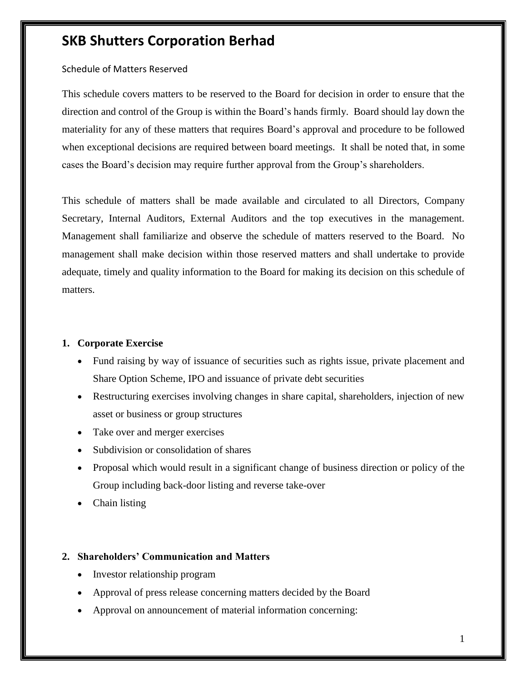#### Schedule of Matters Reserved

This schedule covers matters to be reserved to the Board for decision in order to ensure that the direction and control of the Group is within the Board's hands firmly. Board should lay down the materiality for any of these matters that requires Board's approval and procedure to be followed when exceptional decisions are required between board meetings. It shall be noted that, in some cases the Board's decision may require further approval from the Group's shareholders.

This schedule of matters shall be made available and circulated to all Directors, Company Secretary, Internal Auditors, External Auditors and the top executives in the management. Management shall familiarize and observe the schedule of matters reserved to the Board. No management shall make decision within those reserved matters and shall undertake to provide adequate, timely and quality information to the Board for making its decision on this schedule of matters.

### **1. Corporate Exercise**

- Fund raising by way of issuance of securities such as rights issue, private placement and Share Option Scheme, IPO and issuance of private debt securities
- Restructuring exercises involving changes in share capital, shareholders, injection of new asset or business or group structures
- Take over and merger exercises
- Subdivision or consolidation of shares
- Proposal which would result in a significant change of business direction or policy of the Group including back-door listing and reverse take-over
- Chain listing

### **2. Shareholders' Communication and Matters**

- Investor relationship program
- Approval of press release concerning matters decided by the Board
- Approval on announcement of material information concerning: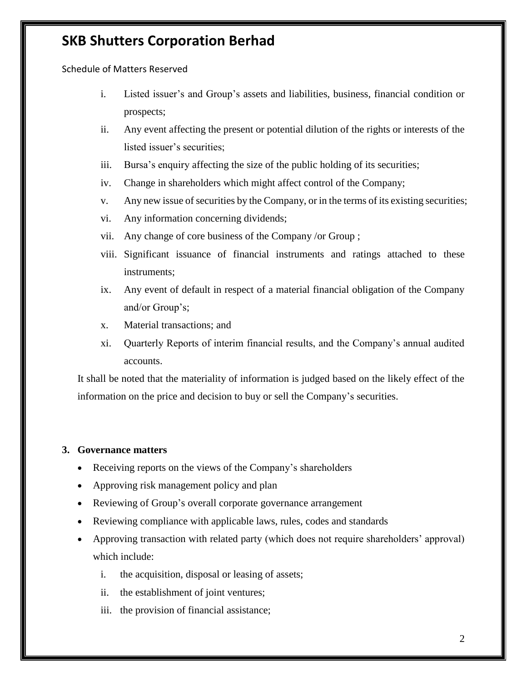### Schedule of Matters Reserved

- i. Listed issuer's and Group's assets and liabilities, business, financial condition or prospects;
- ii. Any event affecting the present or potential dilution of the rights or interests of the listed issuer's securities;
- iii. Bursa's enquiry affecting the size of the public holding of its securities;
- iv. Change in shareholders which might affect control of the Company;
- v. Any new issue of securities by the Company, or in the terms of its existing securities;
- vi. Any information concerning dividends;
- vii. Any change of core business of the Company /or Group ;
- viii. Significant issuance of financial instruments and ratings attached to these instruments;
- ix. Any event of default in respect of a material financial obligation of the Company and/or Group's;
- x. Material transactions; and
- xi. Quarterly Reports of interim financial results, and the Company's annual audited accounts.

It shall be noted that the materiality of information is judged based on the likely effect of the information on the price and decision to buy or sell the Company's securities.

### **3. Governance matters**

- Receiving reports on the views of the Company's shareholders
- Approving risk management policy and plan
- Reviewing of Group's overall corporate governance arrangement
- Reviewing compliance with applicable laws, rules, codes and standards
- Approving transaction with related party (which does not require shareholders' approval) which include:
	- i. the acquisition, disposal or leasing of assets;
	- ii. the establishment of joint ventures;
	- iii. the provision of financial assistance;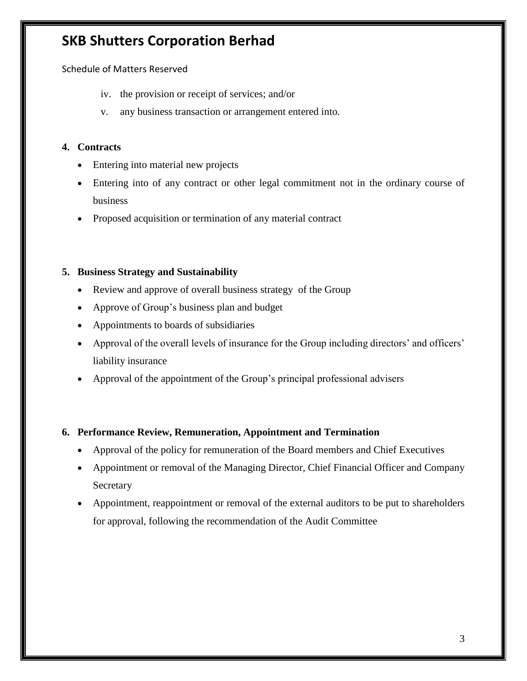Schedule of Matters Reserved

- iv. the provision or receipt of services; and/or
- v. any business transaction or arrangement entered into.

### **4. Contracts**

- Entering into material new projects
- Entering into of any contract or other legal commitment not in the ordinary course of business
- Proposed acquisition or termination of any material contract

### **5. Business Strategy and Sustainability**

- Review and approve of overall business strategy of the Group
- Approve of Group's business plan and budget
- Appointments to boards of subsidiaries
- Approval of the overall levels of insurance for the Group including directors' and officers' liability insurance
- Approval of the appointment of the Group's principal professional advisers

### **6. Performance Review, Remuneration, Appointment and Termination**

- Approval of the policy for remuneration of the Board members and Chief Executives
- Appointment or removal of the Managing Director, Chief Financial Officer and Company Secretary
- Appointment, reappointment or removal of the external auditors to be put to shareholders for approval, following the recommendation of the Audit Committee